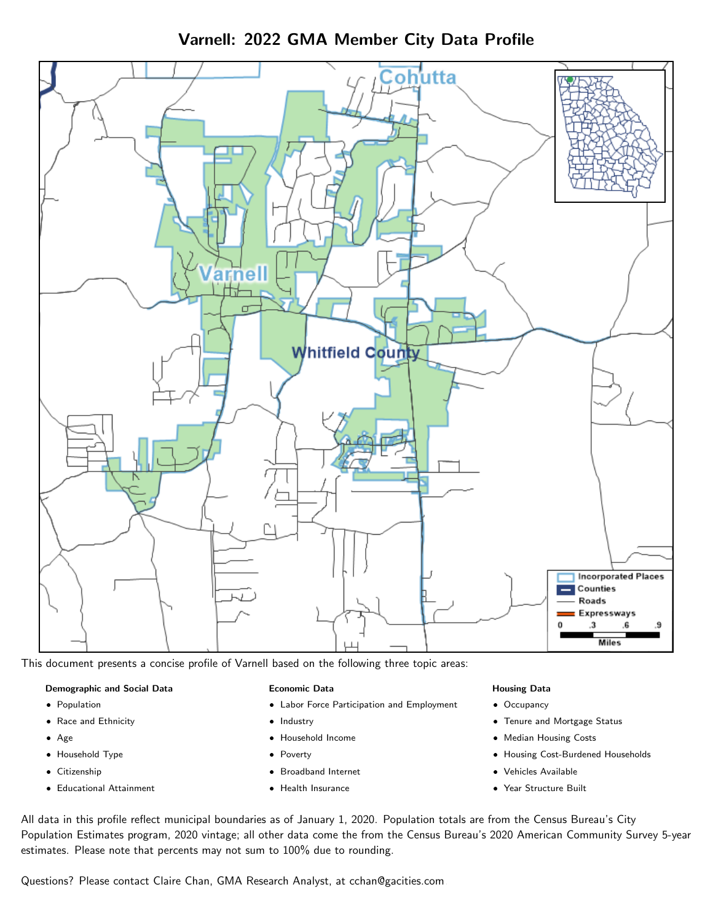Varnell: 2022 GMA Member City Data Profile



This document presents a concise profile of Varnell based on the following three topic areas:

#### Demographic and Social Data

- **•** Population
- Race and Ethnicity
- Age
- Household Type
- **Citizenship**
- Educational Attainment

#### Economic Data

- Labor Force Participation and Employment
- Industry
- Household Income
- Poverty
- Broadband Internet
- Health Insurance

#### Housing Data

- Occupancy
- Tenure and Mortgage Status
- Median Housing Costs
- Housing Cost-Burdened Households
- Vehicles Available
- Year Structure Built

All data in this profile reflect municipal boundaries as of January 1, 2020. Population totals are from the Census Bureau's City Population Estimates program, 2020 vintage; all other data come the from the Census Bureau's 2020 American Community Survey 5-year estimates. Please note that percents may not sum to 100% due to rounding.

Questions? Please contact Claire Chan, GMA Research Analyst, at [cchan@gacities.com.](mailto:cchan@gacities.com)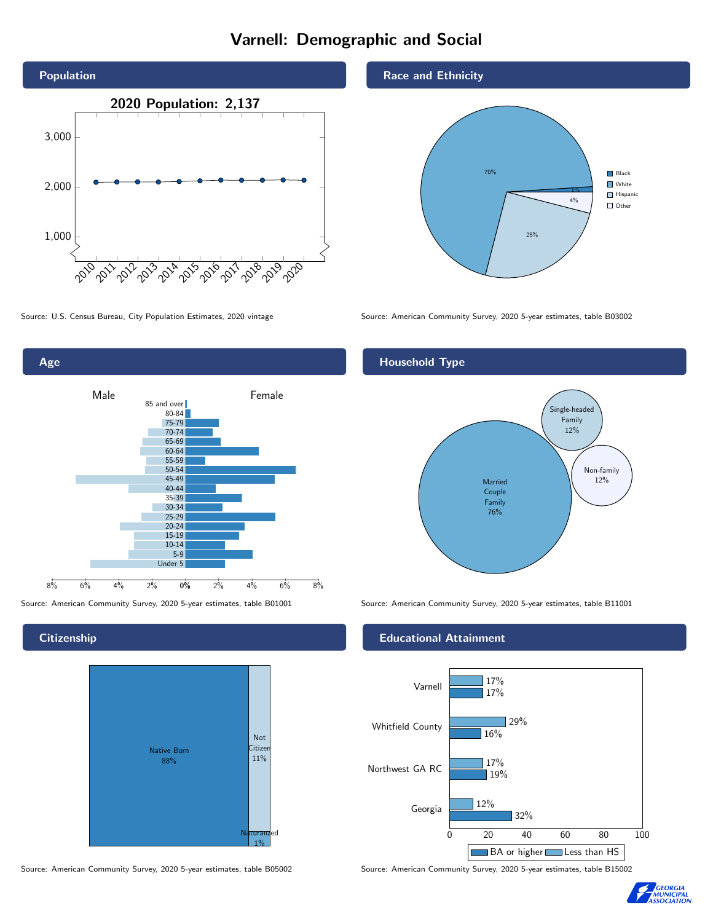# Varnell: Demographic and Social





**Citizenship** 



Source: American Community Survey, 2020 5-year estimates, table B05002 Source: American Community Survey, 2020 5-year estimates, table B15002

Race and Ethnicity



Source: U.S. Census Bureau, City Population Estimates, 2020 vintage Source: American Community Survey, 2020 5-year estimates, table B03002

# Household Type



Source: American Community Survey, 2020 5-year estimates, table B01001 Source: American Community Survey, 2020 5-year estimates, table B11001

## Educational Attainment



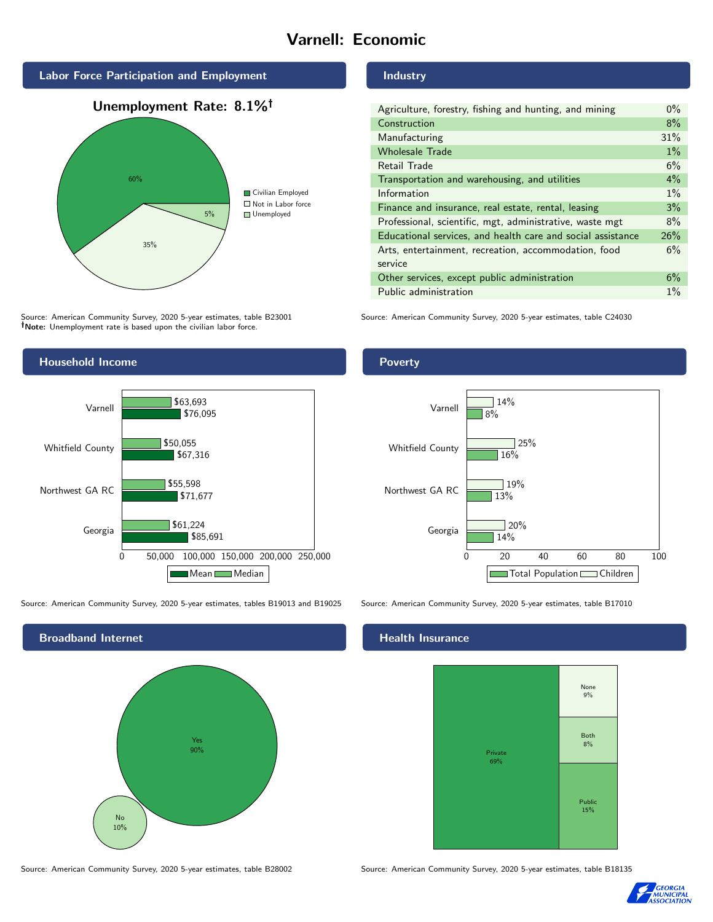# Varnell: Economic







Source: American Community Survey, 2020 5-year estimates, table B23001 Note: Unemployment rate is based upon the civilian labor force.



Source: American Community Survey, 2020 5-year estimates, tables B19013 and B19025 Source: American Community Survey, 2020 5-year estimates, table B17010



#### Industry

| Agriculture, forestry, fishing and hunting, and mining      | $0\%$ |
|-------------------------------------------------------------|-------|
| Construction                                                | 8%    |
| Manufacturing                                               | 31%   |
| <b>Wholesale Trade</b>                                      | $1\%$ |
| Retail Trade                                                | 6%    |
| Transportation and warehousing, and utilities               | $4\%$ |
| Information                                                 | $1\%$ |
| Finance and insurance, real estate, rental, leasing         | 3%    |
| Professional, scientific, mgt, administrative, waste mgt    | 8%    |
| Educational services, and health care and social assistance | 26%   |
| Arts, entertainment, recreation, accommodation, food        | 6%    |
| service                                                     |       |
| Other services, except public administration                | 6%    |
| Public administration                                       | $1\%$ |

Source: American Community Survey, 2020 5-year estimates, table C24030

## Poverty



### Health Insurance



Source: American Community Survey, 2020 5-year estimates, table B28002 Source: American Community Survey, 2020 5-year estimates, table B18135